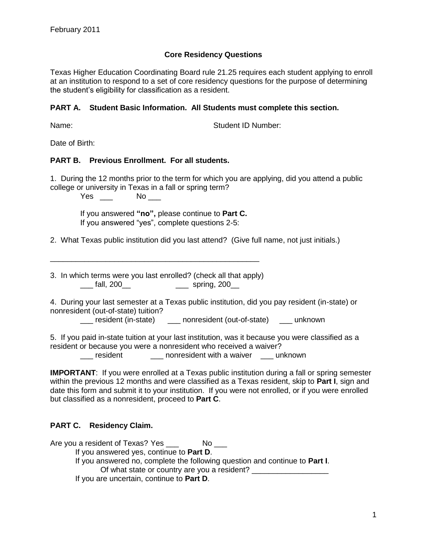# **Core Residency Questions**

Texas Higher Education Coordinating Board rule 21.25 requires each student applying to enroll at an institution to respond to a set of core residency questions for the purpose of determining the student's eligibility for classification as a resident.

### **PART A. Student Basic Information. All Students must complete this section.**

Name: Student ID Number:

Date of Birth:

### **PART B. Previous Enrollment. For all students.**

1. During the 12 months prior to the term for which you are applying, did you attend a public college or university in Texas in a fall or spring term?

Yes \_\_\_ No \_\_\_

If you answered **"no",** please continue to **Part C.** If you answered "yes", complete questions 2-5:

2. What Texas public institution did you last attend? (Give full name, not just initials.)

3. In which terms were you last enrolled? (check all that apply) \_\_\_ fall, 200\_\_ \_\_\_ spring, 200\_\_

\_\_\_\_\_\_\_\_\_\_\_\_\_\_\_\_\_\_\_\_\_\_\_\_\_\_\_\_\_\_\_\_\_\_\_\_\_\_\_\_\_\_\_\_\_\_\_\_\_

4. During your last semester at a Texas public institution, did you pay resident (in-state) or nonresident (out-of-state) tuition?

\_\_\_ resident (in-state) \_\_\_ nonresident (out-of-state) \_\_\_ unknown

5. If you paid in-state tuition at your last institution, was it because you were classified as a resident or because you were a nonresident who received a waiver?

\_\_\_ resident \_\_\_ nonresident with a waiver \_\_\_ unknown

**IMPORTANT:** If you were enrolled at a Texas public institution during a fall or spring semester within the previous 12 months and were classified as a Texas resident, skip to **Part I**, sign and date this form and submit it to your institution. If you were not enrolled, or if you were enrolled but classified as a nonresident, proceed to **Part C**.

# **PART C. Residency Claim.**

Are you a resident of Texas? Yes No If you answered yes, continue to **Part D**. If you answered no, complete the following question and continue to **Part I**. Of what state or country are you a resident? If you are uncertain, continue to **Part D**.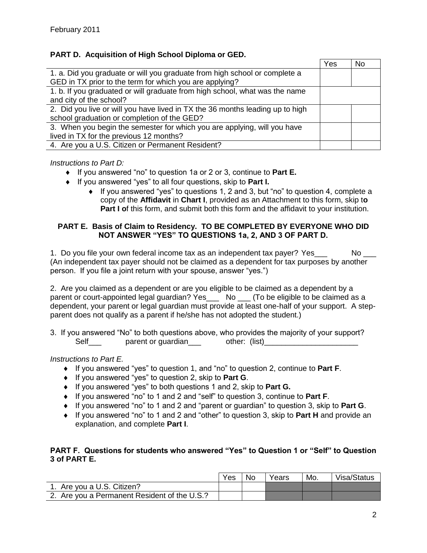# **PART D. Acquisition of High School Diploma or GED.**

|                                                                               | Yes | No |
|-------------------------------------------------------------------------------|-----|----|
| 1. a. Did you graduate or will you graduate from high school or complete a    |     |    |
| GED in TX prior to the term for which you are applying?                       |     |    |
| 1. b. If you graduated or will graduate from high school, what was the name   |     |    |
| and city of the school?                                                       |     |    |
| 2. Did you live or will you have lived in TX the 36 months leading up to high |     |    |
| school graduation or completion of the GED?                                   |     |    |
| 3. When you begin the semester for which you are applying, will you have      |     |    |
| lived in TX for the previous 12 months?                                       |     |    |
| 4. Are you a U.S. Citizen or Permanent Resident?                              |     |    |

#### *Instructions to Part D:*

- If you answered "no" to question 1a or 2 or 3, continue to **Part E.**
- If you answered "yes" to all four questions, skip to **Part I.**
	- If you answered "yes" to questions 1, 2 and 3, but "no" to question 4, complete a copy of the **Affidavit** in **Chart I**, provided as an Attachment to this form, skip t**o Part I o**f this form, and submit both this form and the affidavit to your institution.

#### **PART E. Basis of Claim to Residency. TO BE COMPLETED BY EVERYONE WHO DID NOT ANSWER "YES" TO QUESTIONS 1a, 2, AND 3 OF PART D.**

1. Do you file your own federal income tax as an independent tax payer? Yes No (An independent tax payer should not be claimed as a dependent for tax purposes by another person. If you file a joint return with your spouse, answer "yes.")

2. Are you claimed as a dependent or are you eligible to be claimed as a dependent by a parent or court-appointed legal guardian? Yes\_\_\_ No \_\_ (To be eligible to be claimed as a dependent, your parent or legal guardian must provide at least one-half of your support. A stepparent does not qualify as a parent if he/she has not adopted the student.)

3. If you answered "No" to both questions above, who provides the majority of your support? Self exparent or guardian bother: (list)

### *Instructions to Part E.*

- If you answered "yes" to question 1, and "no" to question 2, continue to **Part F**.
- If you answered "yes" to question 2, skip to **Part G**.
- If you answered "yes" to both questions 1 and 2, skip to **Part G.**
- If you answered "no" to 1 and 2 and "self" to question 3, continue to **Part F**.
- If you answered "no" to 1 and 2 and "parent or guardian" to question 3, skip to **Part G**.
- If you answered "no" to 1 and 2 and "other" to question 3, skip to **Part H** and provide an explanation, and complete **Part I**.

#### **PART F. Questions for students who answered "Yes" to Question 1 or "Self" to Question 3 of PART E.**

|                                              | Yes | No | Years | Mo. | Visa/Status |
|----------------------------------------------|-----|----|-------|-----|-------------|
| Are you a U.S. Citizen?                      |     |    |       |     |             |
| 2. Are you a Permanent Resident of the U.S.? |     |    |       |     |             |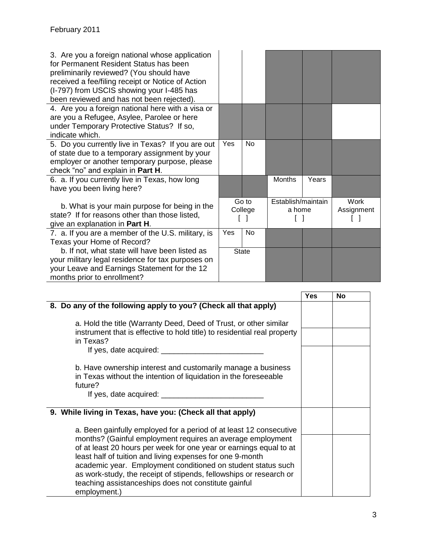| 3. Are you a foreign national whose application<br>for Permanent Resident Status has been<br>preliminarily reviewed? (You should have<br>received a fee/filing receipt or Notice of Action<br>(I-797) from USCIS showing your I-485 has<br>been reviewed and has not been rejected). |                  |              |                              |       |                           |
|--------------------------------------------------------------------------------------------------------------------------------------------------------------------------------------------------------------------------------------------------------------------------------------|------------------|--------------|------------------------------|-------|---------------------------|
| 4. Are you a foreign national here with a visa or<br>are you a Refugee, Asylee, Parolee or here<br>under Temporary Protective Status? If so,<br>indicate which.                                                                                                                      |                  |              |                              |       |                           |
| 5. Do you currently live in Texas? If you are out<br>of state due to a temporary assignment by your<br>employer or another temporary purpose, please<br>check "no" and explain in Part H.                                                                                            | Yes              | No           |                              |       |                           |
| 6. a. If you currently live in Texas, how long<br>have you been living here?                                                                                                                                                                                                         |                  |              | <b>Months</b>                | Years |                           |
| b. What is your main purpose for being in the<br>state? If for reasons other than those listed,<br>give an explanation in Part H.                                                                                                                                                    | Go to<br>College |              | Establish/maintain<br>a home |       | <b>Work</b><br>Assignment |
| 7. a. If you are a member of the U.S. military, is<br>Texas your Home of Record?                                                                                                                                                                                                     | Yes              | <b>No</b>    |                              |       |                           |
| b. If not, what state will have been listed as<br>your military legal residence for tax purposes on<br>your Leave and Earnings Statement for the 12<br>months prior to enrollment?                                                                                                   |                  | <b>State</b> |                              |       |                           |

|                                                                                                                                                                                                                                                                                                                                                                                                                                                                                   | <b>Yes</b> | No |
|-----------------------------------------------------------------------------------------------------------------------------------------------------------------------------------------------------------------------------------------------------------------------------------------------------------------------------------------------------------------------------------------------------------------------------------------------------------------------------------|------------|----|
| 8. Do any of the following apply to you? (Check all that apply)                                                                                                                                                                                                                                                                                                                                                                                                                   |            |    |
| a. Hold the title (Warranty Deed, Deed of Trust, or other similar<br>instrument that is effective to hold title) to residential real property<br>in Texas?<br>If yes, date acquired: _____________                                                                                                                                                                                                                                                                                |            |    |
| b. Have ownership interest and customarily manage a business<br>in Texas without the intention of liquidation in the foreseeable<br>future?<br>If yes, date acquired:                                                                                                                                                                                                                                                                                                             |            |    |
| 9. While living in Texas, have you: (Check all that apply)                                                                                                                                                                                                                                                                                                                                                                                                                        |            |    |
| a. Been gainfully employed for a period of at least 12 consecutive<br>months? (Gainful employment requires an average employment<br>of at least 20 hours per week for one year or earnings equal to at<br>least half of tuition and living expenses for one 9-month<br>academic year. Employment conditioned on student status such<br>as work-study, the receipt of stipends, fellowships or research or<br>teaching assistanceships does not constitute gainful<br>employment.) |            |    |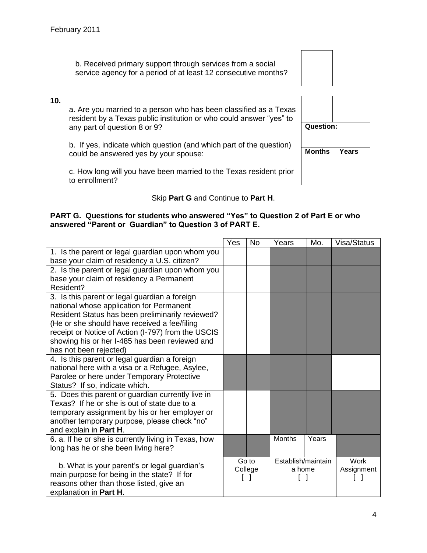| b. Received primary support through services from a social     |  |
|----------------------------------------------------------------|--|
| service agency for a period of at least 12 consecutive months? |  |
|                                                                |  |

# **10.**

a. Are you married to a person who has been classified as a Texas resident by a Texas public institution or who could answer "yes" to any part of question 8 or 9?

b. If yes, indicate which question (and which part of the question) could be answered yes by your spouse:

c. How long will you have been married to the Texas resident prior to enrollment?

| Question:     |       |
|---------------|-------|
| <b>Months</b> | Years |

# Skip **Part G** and Continue to **Part H**.

# **PART G. Questions for students who answered "Yes" to Question 2 of Part E or who answered "Parent or Guardian" to Question 3 of PART E.**

|                                                                                                                                                                                                                                                                                                                                 | Yes | <b>No</b>        | Years                        | Mo.   | Visa/Status        |
|---------------------------------------------------------------------------------------------------------------------------------------------------------------------------------------------------------------------------------------------------------------------------------------------------------------------------------|-----|------------------|------------------------------|-------|--------------------|
| 1. Is the parent or legal guardian upon whom you<br>base your claim of residency a U.S. citizen?                                                                                                                                                                                                                                |     |                  |                              |       |                    |
| 2. Is the parent or legal guardian upon whom you<br>base your claim of residency a Permanent<br>Resident?                                                                                                                                                                                                                       |     |                  |                              |       |                    |
| 3. Is this parent or legal guardian a foreign<br>national whose application for Permanent<br>Resident Status has been preliminarily reviewed?<br>(He or she should have received a fee/filing<br>receipt or Notice of Action (I-797) from the USCIS<br>showing his or her I-485 has been reviewed and<br>has not been rejected) |     |                  |                              |       |                    |
| 4. Is this parent or legal guardian a foreign<br>national here with a visa or a Refugee, Asylee,<br>Parolee or here under Temporary Protective<br>Status? If so, indicate which.                                                                                                                                                |     |                  |                              |       |                    |
| 5. Does this parent or guardian currently live in<br>Texas? If he or she is out of state due to a<br>temporary assignment by his or her employer or<br>another temporary purpose, please check "no"<br>and explain in Part H.                                                                                                   |     |                  |                              |       |                    |
| 6. a. If he or she is currently living in Texas, how<br>long has he or she been living here?                                                                                                                                                                                                                                    |     |                  | <b>Months</b>                | Years |                    |
| b. What is your parent's or legal guardian's<br>main purpose for being in the state? If for<br>reasons other than those listed, give an<br>explanation in Part H.                                                                                                                                                               |     | Go to<br>College | Establish/maintain<br>a home |       | Work<br>Assignment |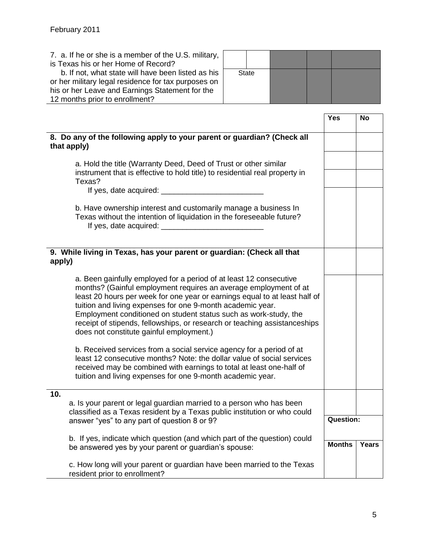7. a. If he or she is a member of the U.S. military,

| is Texas his or her Home of Record?             |                                                                                                                                                                                                                                                                                                                                                                                                                                                                                 |              |  |                  |       |
|-------------------------------------------------|---------------------------------------------------------------------------------------------------------------------------------------------------------------------------------------------------------------------------------------------------------------------------------------------------------------------------------------------------------------------------------------------------------------------------------------------------------------------------------|--------------|--|------------------|-------|
|                                                 | b. If not, what state will have been listed as his                                                                                                                                                                                                                                                                                                                                                                                                                              | <b>State</b> |  |                  |       |
|                                                 | or her military legal residence for tax purposes on                                                                                                                                                                                                                                                                                                                                                                                                                             |              |  |                  |       |
| his or her Leave and Earnings Statement for the |                                                                                                                                                                                                                                                                                                                                                                                                                                                                                 |              |  |                  |       |
| 12 months prior to enrollment?                  |                                                                                                                                                                                                                                                                                                                                                                                                                                                                                 |              |  |                  |       |
|                                                 |                                                                                                                                                                                                                                                                                                                                                                                                                                                                                 |              |  |                  |       |
|                                                 |                                                                                                                                                                                                                                                                                                                                                                                                                                                                                 |              |  | Yes              | No    |
|                                                 |                                                                                                                                                                                                                                                                                                                                                                                                                                                                                 |              |  |                  |       |
| that apply)                                     | 8. Do any of the following apply to your parent or guardian? (Check all                                                                                                                                                                                                                                                                                                                                                                                                         |              |  |                  |       |
|                                                 | a. Hold the title (Warranty Deed, Deed of Trust or other similar                                                                                                                                                                                                                                                                                                                                                                                                                |              |  |                  |       |
|                                                 | instrument that is effective to hold title) to residential real property in                                                                                                                                                                                                                                                                                                                                                                                                     |              |  |                  |       |
| Texas?                                          |                                                                                                                                                                                                                                                                                                                                                                                                                                                                                 |              |  |                  |       |
|                                                 | If yes, date acquired: _____                                                                                                                                                                                                                                                                                                                                                                                                                                                    |              |  |                  |       |
|                                                 |                                                                                                                                                                                                                                                                                                                                                                                                                                                                                 |              |  |                  |       |
|                                                 | b. Have ownership interest and customarily manage a business In                                                                                                                                                                                                                                                                                                                                                                                                                 |              |  |                  |       |
|                                                 | Texas without the intention of liquidation in the foreseeable future?                                                                                                                                                                                                                                                                                                                                                                                                           |              |  |                  |       |
|                                                 |                                                                                                                                                                                                                                                                                                                                                                                                                                                                                 |              |  |                  |       |
|                                                 |                                                                                                                                                                                                                                                                                                                                                                                                                                                                                 |              |  |                  |       |
|                                                 |                                                                                                                                                                                                                                                                                                                                                                                                                                                                                 |              |  |                  |       |
|                                                 | 9. While living in Texas, has your parent or guardian: (Check all that                                                                                                                                                                                                                                                                                                                                                                                                          |              |  |                  |       |
| apply)                                          |                                                                                                                                                                                                                                                                                                                                                                                                                                                                                 |              |  |                  |       |
|                                                 | a. Been gainfully employed for a period of at least 12 consecutive<br>months? (Gainful employment requires an average employment of at<br>least 20 hours per week for one year or earnings equal to at least half of<br>tuition and living expenses for one 9-month academic year.<br>Employment conditioned on student status such as work-study, the<br>receipt of stipends, fellowships, or research or teaching assistanceships<br>does not constitute gainful employment.) |              |  |                  |       |
|                                                 | b. Received services from a social service agency for a period of at<br>least 12 consecutive months? Note: the dollar value of social services<br>received may be combined with earnings to total at least one-half of<br>tuition and living expenses for one 9-month academic year.                                                                                                                                                                                            |              |  |                  |       |
| 10.                                             |                                                                                                                                                                                                                                                                                                                                                                                                                                                                                 |              |  |                  |       |
|                                                 | a. Is your parent or legal guardian married to a person who has been<br>classified as a Texas resident by a Texas public institution or who could                                                                                                                                                                                                                                                                                                                               |              |  |                  |       |
|                                                 | answer "yes" to any part of question 8 or 9?                                                                                                                                                                                                                                                                                                                                                                                                                                    |              |  | <b>Question:</b> |       |
|                                                 |                                                                                                                                                                                                                                                                                                                                                                                                                                                                                 |              |  |                  |       |
|                                                 | b. If yes, indicate which question (and which part of the question) could                                                                                                                                                                                                                                                                                                                                                                                                       |              |  |                  |       |
|                                                 | be answered yes by your parent or guardian's spouse:                                                                                                                                                                                                                                                                                                                                                                                                                            |              |  | <b>Months</b>    | Years |
| resident prior to enrollment?                   | c. How long will your parent or guardian have been married to the Texas                                                                                                                                                                                                                                                                                                                                                                                                         |              |  |                  |       |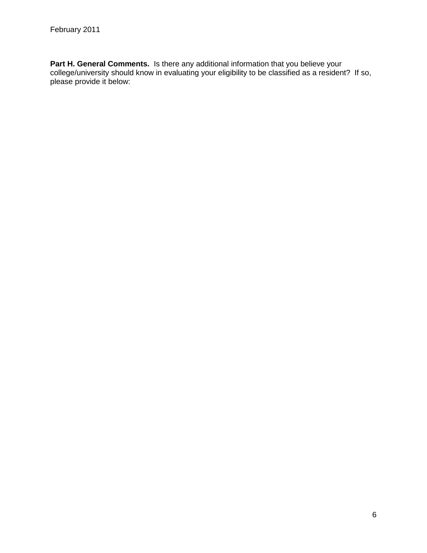**Part H. General Comments.** Is there any additional information that you believe your college/university should know in evaluating your eligibility to be classified as a resident? If so, please provide it below: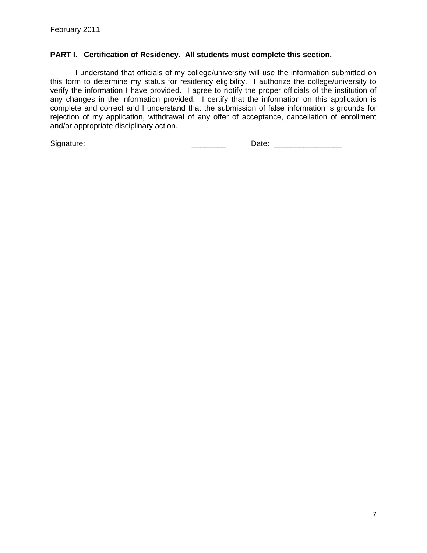### **PART I. Certification of Residency. All students must complete this section.**

I understand that officials of my college/university will use the information submitted on this form to determine my status for residency eligibility. I authorize the college/university to verify the information I have provided. I agree to notify the proper officials of the institution of any changes in the information provided. I certify that the information on this application is complete and correct and I understand that the submission of false information is grounds for rejection of my application, withdrawal of any offer of acceptance, cancellation of enrollment and/or appropriate disciplinary action.

Signature: \_\_\_\_\_\_\_\_ Date: \_\_\_\_\_\_\_\_\_\_\_\_\_\_\_\_